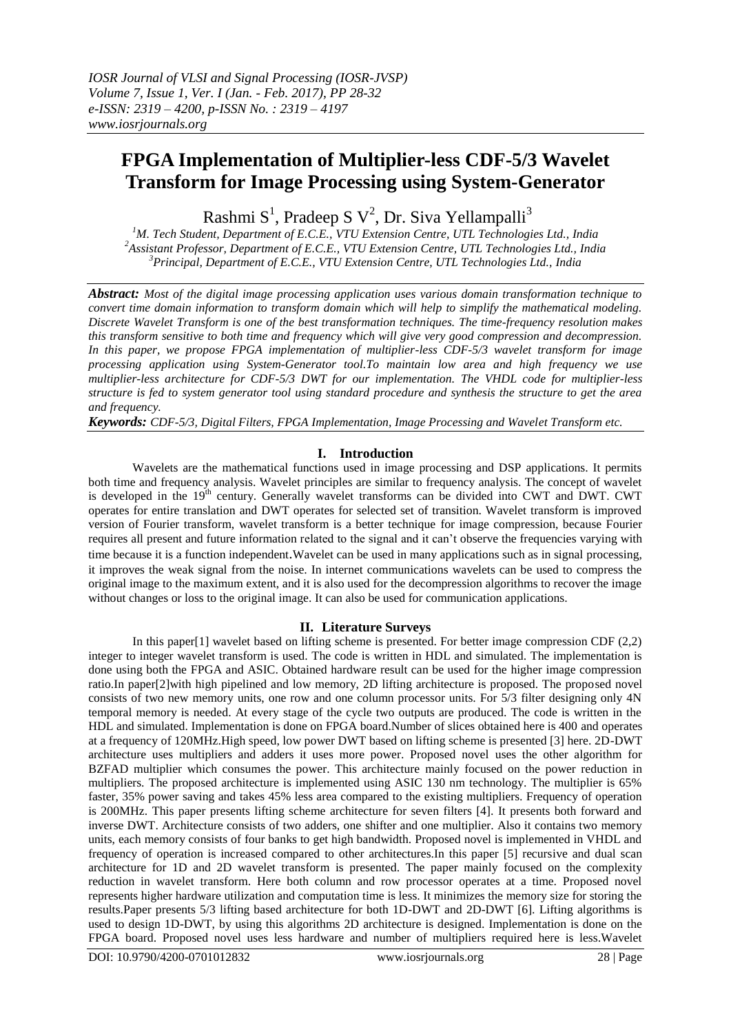# **FPGA Implementation of Multiplier-less CDF-5/3 Wavelet Transform for Image Processing using System-Generator**

Rashmi  $S^1$ , Pradeep S  $V^2$ , Dr. Siva Yellampalli<sup>3</sup>

*<sup>1</sup>M. Tech Student, Department of E.C.E., VTU Extension Centre, UTL Technologies Ltd., India <sup>2</sup>Assistant Professor, Department of E.C.E., VTU Extension Centre, UTL Technologies Ltd., India <sup>3</sup>Principal, Department of E.C.E., VTU Extension Centre, UTL Technologies Ltd., India*

*Abstract: Most of the digital image processing application uses various domain transformation technique to convert time domain information to transform domain which will help to simplify the mathematical modeling. Discrete Wavelet Transform is one of the best transformation techniques. The time-frequency resolution makes this transform sensitive to both time and frequency which will give very good compression and decompression. In this paper, we propose FPGA implementation of multiplier-less CDF-5/3 wavelet transform for image processing application using System-Generator tool.To maintain low area and high frequency we use multiplier-less architecture for CDF-5/3 DWT for our implementation. The VHDL code for multiplier-less structure is fed to system generator tool using standard procedure and synthesis the structure to get the area and frequency.*

*Keywords: CDF-5/3, Digital Filters, FPGA Implementation, Image Processing and Wavelet Transform etc.*

## **I. Introduction**

Wavelets are the mathematical functions used in image processing and DSP applications. It permits both time and frequency analysis. Wavelet principles are similar to frequency analysis. The concept of wavelet is developed in the 19<sup>th</sup> century. Generally wavelet transforms can be divided into CWT and DWT. CWT operates for entire translation and DWT operates for selected set of transition. Wavelet transform is improved version of Fourier transform, wavelet transform is a better technique for image compression, because Fourier requires all present and future information related to the signal and it can't observe the frequencies varying with time because it is a function independent.Wavelet can be used in many applications such as in signal processing, it improves the weak signal from the noise. In internet communications wavelets can be used to compress the original image to the maximum extent, and it is also used for the decompression algorithms to recover the image without changes or loss to the original image. It can also be used for communication applications.

## **II. Literature Surveys**

In this paper[1] wavelet based on lifting scheme is presented. For better image compression CDF (2,2) integer to integer wavelet transform is used. The code is written in HDL and simulated. The implementation is done using both the FPGA and ASIC. Obtained hardware result can be used for the higher image compression ratio.In paper[2]with high pipelined and low memory, 2D lifting architecture is proposed. The proposed novel consists of two new memory units, one row and one column processor units. For 5/3 filter designing only 4N temporal memory is needed. At every stage of the cycle two outputs are produced. The code is written in the HDL and simulated. Implementation is done on FPGA board.Number of slices obtained here is 400 and operates at a frequency of 120MHz.High speed, low power DWT based on lifting scheme is presented [3] here. 2D-DWT architecture uses multipliers and adders it uses more power. Proposed novel uses the other algorithm for BZFAD multiplier which consumes the power. This architecture mainly focused on the power reduction in multipliers. The proposed architecture is implemented using ASIC 130 nm technology. The multiplier is 65% faster, 35% power saving and takes 45% less area compared to the existing multipliers. Frequency of operation is 200MHz. This paper presents lifting scheme architecture for seven filters [4]. It presents both forward and inverse DWT. Architecture consists of two adders, one shifter and one multiplier. Also it contains two memory units, each memory consists of four banks to get high bandwidth. Proposed novel is implemented in VHDL and frequency of operation is increased compared to other architectures.In this paper [5] recursive and dual scan architecture for 1D and 2D wavelet transform is presented. The paper mainly focused on the complexity reduction in wavelet transform. Here both column and row processor operates at a time. Proposed novel represents higher hardware utilization and computation time is less. It minimizes the memory size for storing the results.Paper presents 5/3 lifting based architecture for both 1D-DWT and 2D-DWT [6]. Lifting algorithms is used to design 1D-DWT, by using this algorithms 2D architecture is designed. Implementation is done on the FPGA board. Proposed novel uses less hardware and number of multipliers required here is less.Wavelet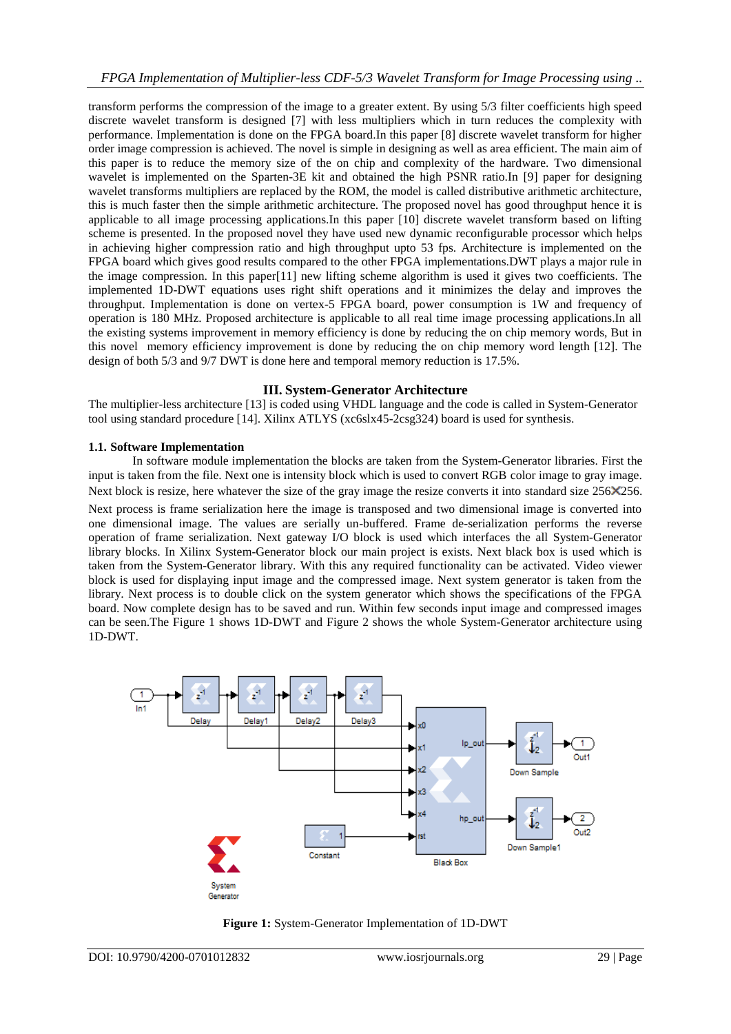transform performs the compression of the image to a greater extent. By using 5/3 filter coefficients high speed discrete wavelet transform is designed [7] with less multipliers which in turn reduces the complexity with performance. Implementation is done on the FPGA board.In this paper [8] discrete wavelet transform for higher order image compression is achieved. The novel is simple in designing as well as area efficient. The main aim of this paper is to reduce the memory size of the on chip and complexity of the hardware. Two dimensional wavelet is implemented on the Sparten-3E kit and obtained the high PSNR ratio.In [9] paper for designing wavelet transforms multipliers are replaced by the ROM, the model is called distributive arithmetic architecture, this is much faster then the simple arithmetic architecture. The proposed novel has good throughput hence it is applicable to all image processing applications.In this paper [10] discrete wavelet transform based on lifting scheme is presented. In the proposed novel they have used new dynamic reconfigurable processor which helps in achieving higher compression ratio and high throughput upto 53 fps. Architecture is implemented on the FPGA board which gives good results compared to the other FPGA implementations.DWT plays a major rule in the image compression. In this paper[11] new lifting scheme algorithm is used it gives two coefficients. The implemented 1D-DWT equations uses right shift operations and it minimizes the delay and improves the throughput. Implementation is done on vertex-5 FPGA board, power consumption is 1W and frequency of operation is 180 MHz. Proposed architecture is applicable to all real time image processing applications.In all the existing systems improvement in memory efficiency is done by reducing the on chip memory words, But in this novel memory efficiency improvement is done by reducing the on chip memory word length [12]. The design of both 5/3 and 9/7 DWT is done here and temporal memory reduction is 17.5%.

## **III. System-Generator Architecture**

The multiplier-less architecture [13] is coded using VHDL language and the code is called in System-Generator tool using standard procedure [14]. Xilinx ATLYS (xc6slx45-2csg324) board is used for synthesis.

## **1.1. Software Implementation**

In software module implementation the blocks are taken from the System-Generator libraries. First the input is taken from the file. Next one is intensity block which is used to convert RGB color image to gray image. Next block is resize, here whatever the size of the gray image the resize converts it into standard size 256×256.

Next process is frame serialization here the image is transposed and two dimensional image is converted into one dimensional image. The values are serially un-buffered. Frame de-serialization performs the reverse operation of frame serialization. Next gateway I/O block is used which interfaces the all System-Generator library blocks. In Xilinx System-Generator block our main project is exists. Next black box is used which is taken from the System-Generator library. With this any required functionality can be activated. Video viewer block is used for displaying input image and the compressed image. Next system generator is taken from the library. Next process is to double click on the system generator which shows the specifications of the FPGA board. Now complete design has to be saved and run. Within few seconds input image and compressed images can be seen.The Figure 1 shows 1D-DWT and Figure 2 shows the whole System-Generator architecture using 1D-DWT.



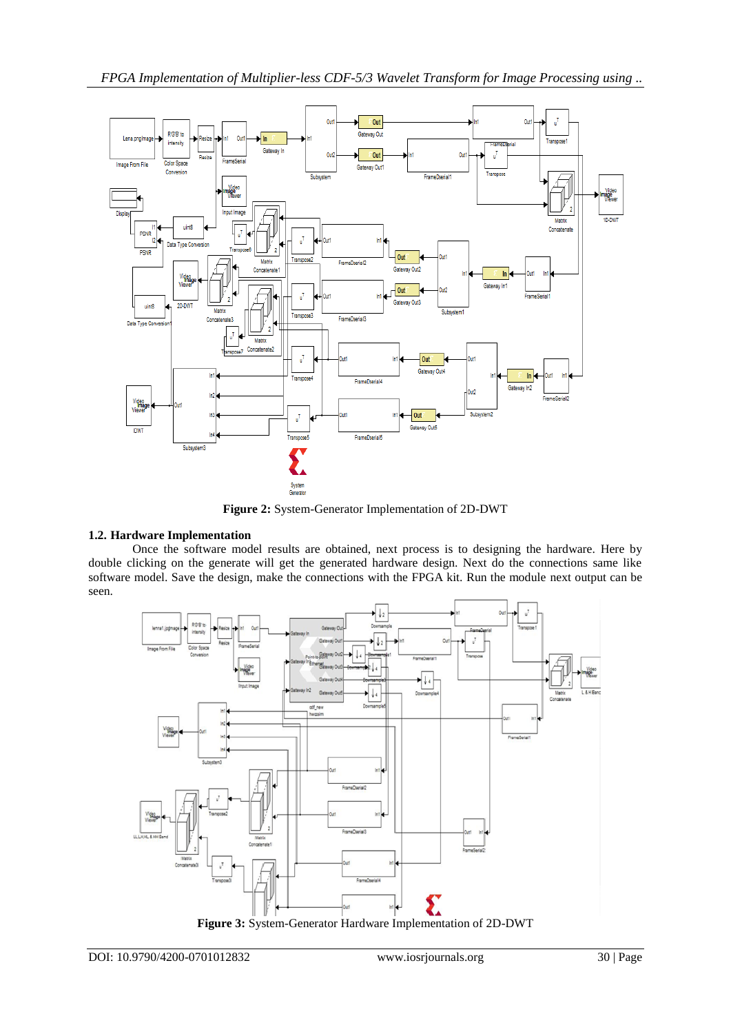

**Figure 2:** System-Generator Implementation of 2D-DWT

# **1.2. Hardware Implementation**

Once the software model results are obtained, next process is to designing the hardware. Here by double clicking on the generate will get the generated hardware design. Next do the connections same like software model. Save the design, make the connections with the FPGA kit. Run the module next output can be seen.

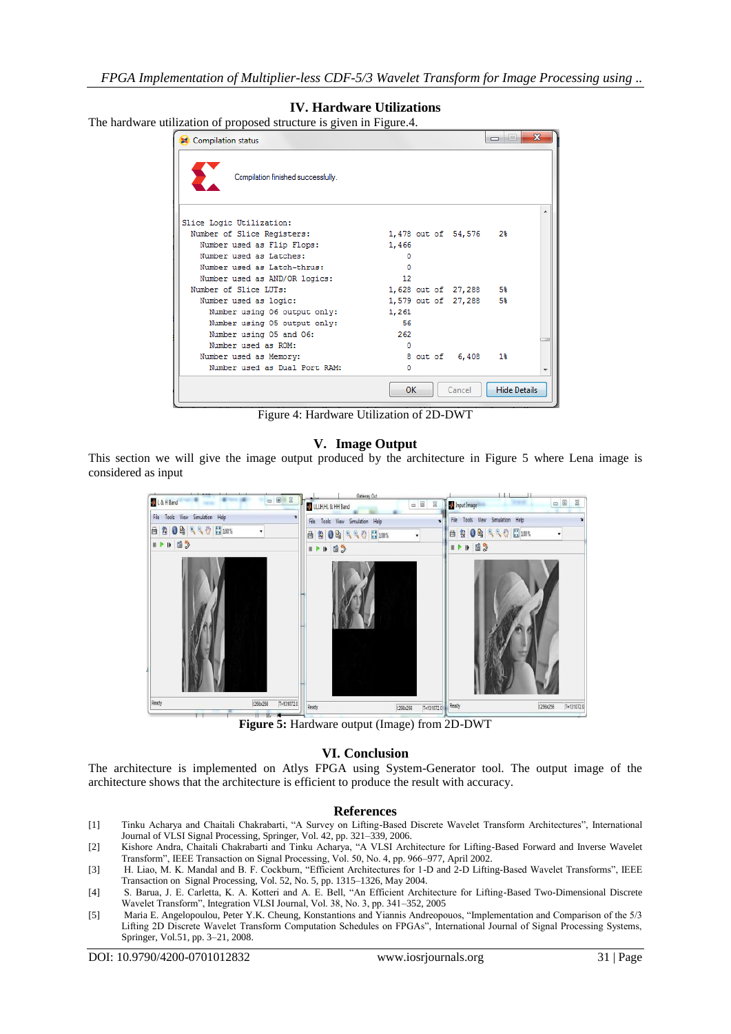## **IV. Hardware Utilizations**

The hardware utilization of proposed structure is given in Figure.4.

| Compilation status                 | Ж<br>ie.<br>$\Box$                  |
|------------------------------------|-------------------------------------|
| Compilation finished successfully. |                                     |
| Slice Logic Utilization:           |                                     |
| Number of Slice Registers:         | 1,478 out of 54,576<br>2%           |
| Number used as Flip Flops:         | 1,466                               |
| Number used as Latches:            | ٥                                   |
| Number used as Latch-thrus:        | n                                   |
| Number used as AND/OR logics:      | $12 \overline{ }$                   |
| Number of Slice LUTs:              | 1,628 out of 27,288<br>5%           |
| Number used as logic:              | 5%<br>1,579 out of 27,288           |
| Number using 06 output only:       | 1,261                               |
| Number using 05 output only:       | 56                                  |
| Number using 05 and 06:            | 262                                 |
| Number used as ROM:                | $\Omega$                            |
| Number used as Memory:             | 8 out of 6,408<br>1 <sup>8</sup>    |
| Number used as Dual Port RAM:      | 0                                   |
|                                    | <b>Hide Details</b><br>OK<br>Cancel |

Figure 4: Hardware Utilization of 2D-DWT

#### **V. Image Output**

This section we will give the image output produced by the architecture in Figure 5 where Lena image is considered as input



**Figure 5:** Hardware output (Image) from 2D-DWT

#### **VI. Conclusion**

The architecture is implemented on Atlys FPGA using System-Generator tool. The output image of the architecture shows that the architecture is efficient to produce the result with accuracy.

#### **References**

- [1] Tinku Acharya and Chaitali Chakrabarti, "A Survey on Lifting-Based Discrete Wavelet Transform Architectures", International Journal of VLSI Signal Processing, Springer, Vol. 42, pp. 321–339, 2006.
- [2] Kishore Andra, Chaitali Chakrabarti and Tinku Acharya, "A VLSI Architecture for Lifting-Based Forward and Inverse Wavelet Transform", IEEE Transaction on Signal Processing, Vol. 50, No. 4, pp. 966–977, April 2002.
- [3] H. Liao, M. K. Mandal and B. F. Cockburn, "Efficient Architectures for 1-D and 2-D Lifting-Based Wavelet Transforms", IEEE Transaction on Signal Processing, Vol. 52, No. 5, pp. 1315–1326, May 2004.
- [4] S. Barua, J. E. Carletta, K. A. Kotteri and A. E. Bell, "An Efficient Architecture for Lifting-Based Two-Dimensional Discrete Wavelet Transform", Integration VLSI Journal, Vol. 38, No. 3, pp. 341–352, 2005
- [5] Maria E. Angelopoulou, Peter Y.K. Cheung, Konstantions and Yiannis Andreopouos, "Implementation and Comparison of the 5/3 Lifting 2D Discrete Wavelet Transform Computation Schedules on FPGAs", International Journal of Signal Processing Systems, Springer, Vol.51, pp. 3–21, 2008.